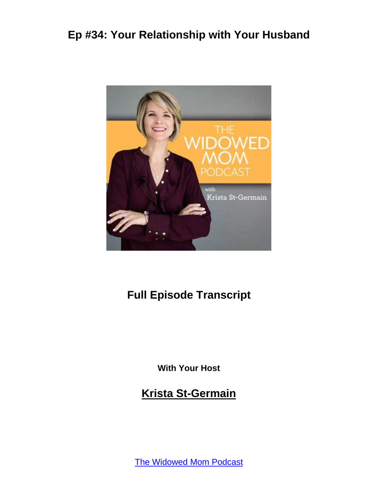

# **Full Episode Transcript**

**With Your Host**

**Krista St-Germain**

The [Widowed](https://coachingwithkrista.com/podcast) Mom Podcast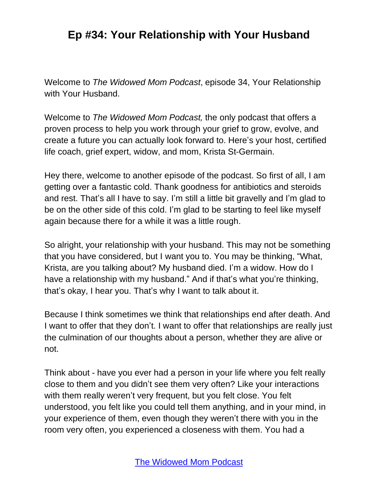Welcome to *The Widowed Mom Podcast*, episode 34, Your Relationship with Your Husband.

Welcome to *The Widowed Mom Podcast,* the only podcast that offers a proven process to help you work through your grief to grow, evolve, and create a future you can actually look forward to. Here's your host, certified life coach, grief expert, widow, and mom, Krista St-Germain.

Hey there, welcome to another episode of the podcast. So first of all, I am getting over a fantastic cold. Thank goodness for antibiotics and steroids and rest. That's all I have to say. I'm still a little bit gravelly and I'm glad to be on the other side of this cold. I'm glad to be starting to feel like myself again because there for a while it was a little rough.

So alright, your relationship with your husband. This may not be something that you have considered, but I want you to. You may be thinking, "What, Krista, are you talking about? My husband died. I'm a widow. How do I have a relationship with my husband." And if that's what you're thinking, that's okay, I hear you. That's why I want to talk about it.

Because I think sometimes we think that relationships end after death. And I want to offer that they don't. I want to offer that relationships are really just the culmination of our thoughts about a person, whether they are alive or not.

Think about - have you ever had a person in your life where you felt really close to them and you didn't see them very often? Like your interactions with them really weren't very frequent, but you felt close. You felt understood, you felt like you could tell them anything, and in your mind, in your experience of them, even though they weren't there with you in the room very often, you experienced a closeness with them. You had a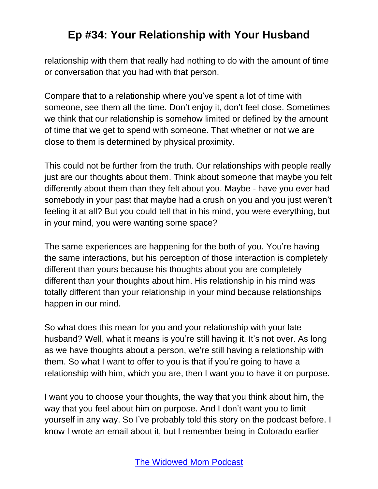relationship with them that really had nothing to do with the amount of time or conversation that you had with that person.

Compare that to a relationship where you've spent a lot of time with someone, see them all the time. Don't enjoy it, don't feel close. Sometimes we think that our relationship is somehow limited or defined by the amount of time that we get to spend with someone. That whether or not we are close to them is determined by physical proximity.

This could not be further from the truth. Our relationships with people really just are our thoughts about them. Think about someone that maybe you felt differently about them than they felt about you. Maybe - have you ever had somebody in your past that maybe had a crush on you and you just weren't feeling it at all? But you could tell that in his mind, you were everything, but in your mind, you were wanting some space?

The same experiences are happening for the both of you. You're having the same interactions, but his perception of those interaction is completely different than yours because his thoughts about you are completely different than your thoughts about him. His relationship in his mind was totally different than your relationship in your mind because relationships happen in our mind.

So what does this mean for you and your relationship with your late husband? Well, what it means is you're still having it. It's not over. As long as we have thoughts about a person, we're still having a relationship with them. So what I want to offer to you is that if you're going to have a relationship with him, which you are, then I want you to have it on purpose.

I want you to choose your thoughts, the way that you think about him, the way that you feel about him on purpose. And I don't want you to limit yourself in any way. So I've probably told this story on the podcast before. I know I wrote an email about it, but I remember being in Colorado earlier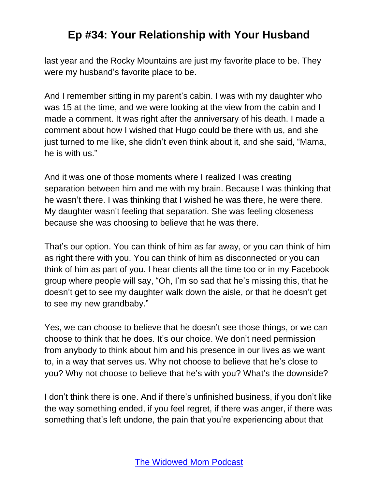last year and the Rocky Mountains are just my favorite place to be. They were my husband's favorite place to be.

And I remember sitting in my parent's cabin. I was with my daughter who was 15 at the time, and we were looking at the view from the cabin and I made a comment. It was right after the anniversary of his death. I made a comment about how I wished that Hugo could be there with us, and she just turned to me like, she didn't even think about it, and she said, "Mama, he is with us."

And it was one of those moments where I realized I was creating separation between him and me with my brain. Because I was thinking that he wasn't there. I was thinking that I wished he was there, he were there. My daughter wasn't feeling that separation. She was feeling closeness because she was choosing to believe that he was there.

That's our option. You can think of him as far away, or you can think of him as right there with you. You can think of him as disconnected or you can think of him as part of you. I hear clients all the time too or in my Facebook group where people will say, "Oh, I'm so sad that he's missing this, that he doesn't get to see my daughter walk down the aisle, or that he doesn't get to see my new grandbaby."

Yes, we can choose to believe that he doesn't see those things, or we can choose to think that he does. It's our choice. We don't need permission from anybody to think about him and his presence in our lives as we want to, in a way that serves us. Why not choose to believe that he's close to you? Why not choose to believe that he's with you? What's the downside?

I don't think there is one. And if there's unfinished business, if you don't like the way something ended, if you feel regret, if there was anger, if there was something that's left undone, the pain that you're experiencing about that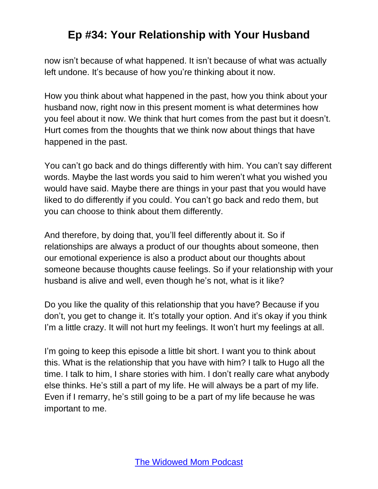now isn't because of what happened. It isn't because of what was actually left undone. It's because of how you're thinking about it now.

How you think about what happened in the past, how you think about your husband now, right now in this present moment is what determines how you feel about it now. We think that hurt comes from the past but it doesn't. Hurt comes from the thoughts that we think now about things that have happened in the past.

You can't go back and do things differently with him. You can't say different words. Maybe the last words you said to him weren't what you wished you would have said. Maybe there are things in your past that you would have liked to do differently if you could. You can't go back and redo them, but you can choose to think about them differently.

And therefore, by doing that, you'll feel differently about it. So if relationships are always a product of our thoughts about someone, then our emotional experience is also a product about our thoughts about someone because thoughts cause feelings. So if your relationship with your husband is alive and well, even though he's not, what is it like?

Do you like the quality of this relationship that you have? Because if you don't, you get to change it. It's totally your option. And it's okay if you think I'm a little crazy. It will not hurt my feelings. It won't hurt my feelings at all.

I'm going to keep this episode a little bit short. I want you to think about this. What is the relationship that you have with him? I talk to Hugo all the time. I talk to him, I share stories with him. I don't really care what anybody else thinks. He's still a part of my life. He will always be a part of my life. Even if I remarry, he's still going to be a part of my life because he was important to me.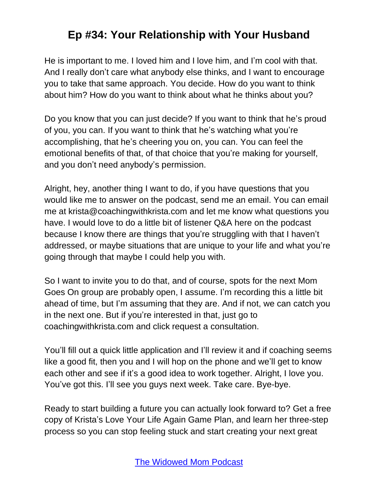He is important to me. I loved him and I love him, and I'm cool with that. And I really don't care what anybody else thinks, and I want to encourage you to take that same approach. You decide. How do you want to think about him? How do you want to think about what he thinks about you?

Do you know that you can just decide? If you want to think that he's proud of you, you can. If you want to think that he's watching what you're accomplishing, that he's cheering you on, you can. You can feel the emotional benefits of that, of that choice that you're making for yourself, and you don't need anybody's permission.

Alright, hey, another thing I want to do, if you have questions that you would like me to answer on the podcast, send me an email. You can email me at krista@coachingwithkrista.com and let me know what questions you have. I would love to do a little bit of listener Q&A here on the podcast because I know there are things that you're struggling with that I haven't addressed, or maybe situations that are unique to your life and what you're going through that maybe I could help you with.

So I want to invite you to do that, and of course, spots for the next Mom Goes On group are probably open, I assume. I'm recording this a little bit ahead of time, but I'm assuming that they are. And if not, we can catch you in the next one. But if you're interested in that, just go to coachingwithkrista.com and click request a consultation.

You'll fill out a quick little application and I'll review it and if coaching seems like a good fit, then you and I will hop on the phone and we'll get to know each other and see if it's a good idea to work together. Alright, I love you. You've got this. I'll see you guys next week. Take care. Bye-bye.

Ready to start building a future you can actually look forward to? Get a free copy of Krista's Love Your Life Again Game Plan, and learn her three-step process so you can stop feeling stuck and start creating your next great